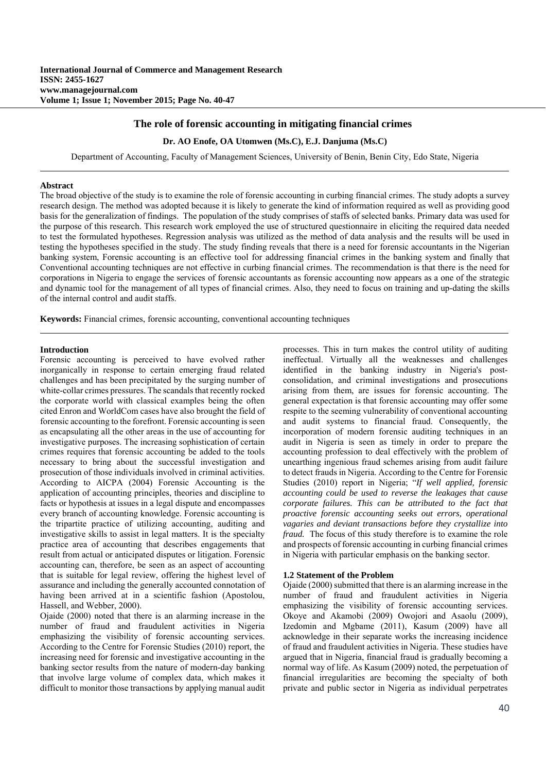# **The role of forensic accounting in mitigating financial crimes**

### **Dr. AO Enofe, OA Utomwen (Ms.C), E.J. Danjuma (Ms.C)**

Department of Accounting, Faculty of Management Sciences, University of Benin, Benin City, Edo State, Nigeria

#### **Abstract**

The broad objective of the study is to examine the role of forensic accounting in curbing financial crimes. The study adopts a survey research design. The method was adopted because it is likely to generate the kind of information required as well as providing good basis for the generalization of findings. The population of the study comprises of staffs of selected banks. Primary data was used for the purpose of this research. This research work employed the use of structured questionnaire in eliciting the required data needed to test the formulated hypotheses. Regression analysis was utilized as the method of data analysis and the results will be used in testing the hypotheses specified in the study. The study finding reveals that there is a need for forensic accountants in the Nigerian banking system, Forensic accounting is an effective tool for addressing financial crimes in the banking system and finally that Conventional accounting techniques are not effective in curbing financial crimes. The recommendation is that there is the need for corporations in Nigeria to engage the services of forensic accountants as forensic accounting now appears as a one of the strategic and dynamic tool for the management of all types of financial crimes. Also, they need to focus on training and up-dating the skills of the internal control and audit staffs.

**Keywords:** Financial crimes, forensic accounting, conventional accounting techniques

#### **Introduction**

Forensic accounting is perceived to have evolved rather inorganically in response to certain emerging fraud related challenges and has been precipitated by the surging number of white-collar crimes pressures. The scandals that recently rocked the corporate world with classical examples being the often cited Enron and WorldCom cases have also brought the field of forensic accounting to the forefront. Forensic accounting is seen as encapsulating all the other areas in the use of accounting for investigative purposes. The increasing sophistication of certain crimes requires that forensic accounting be added to the tools necessary to bring about the successful investigation and prosecution of those individuals involved in criminal activities. According to AICPA (2004) Forensic Accounting is the application of accounting principles, theories and discipline to facts or hypothesis at issues in a legal dispute and encompasses every branch of accounting knowledge. Forensic accounting is the tripartite practice of utilizing accounting, auditing and investigative skills to assist in legal matters. It is the specialty practice area of accounting that describes engagements that result from actual or anticipated disputes or litigation. Forensic accounting can, therefore, be seen as an aspect of accounting that is suitable for legal review, offering the highest level of assurance and including the generally accounted connotation of having been arrived at in a scientific fashion (Apostolou, Hassell, and Webber, 2000).

Ojaide (2000) noted that there is an alarming increase in the number of fraud and fraudulent activities in Nigeria emphasizing the visibility of forensic accounting services. According to the Centre for Forensic Studies (2010) report, the increasing need for forensic and investigative accounting in the banking sector results from the nature of modern-day banking that involve large volume of complex data, which makes it difficult to monitor those transactions by applying manual audit processes. This in turn makes the control utility of auditing ineffectual. Virtually all the weaknesses and challenges identified in the banking industry in Nigeria's postconsolidation, and criminal investigations and prosecutions arising from them, are issues for forensic accounting. The general expectation is that forensic accounting may offer some respite to the seeming vulnerability of conventional accounting and audit systems to financial fraud. Consequently, the incorporation of modern forensic auditing techniques in an audit in Nigeria is seen as timely in order to prepare the accounting profession to deal effectively with the problem of unearthing ingenious fraud schemes arising from audit failure to detect frauds in Nigeria. According to the Centre for Forensic Studies (2010) report in Nigeria; "*If well applied, forensic accounting could be used to reverse the leakages that cause corporate failures. This can be attributed to the fact that proactive forensic accounting seeks out errors, operational vagaries and deviant transactions before they crystallize into fraud.* The focus of this study therefore is to examine the role and prospects of forensic accounting in curbing financial crimes in Nigeria with particular emphasis on the banking sector.

# **1.2 Statement of the Problem**

Ojaide (2000) submitted that there is an alarming increase in the number of fraud and fraudulent activities in Nigeria emphasizing the visibility of forensic accounting services. Okoye and Akamobi (2009) Owojori and Asaolu (2009), Izedomin and Mgbame (2011), Kasum (2009) have all acknowledge in their separate works the increasing incidence of fraud and fraudulent activities in Nigeria. These studies have argued that in Nigeria, financial fraud is gradually becoming a normal way of life. As Kasum (2009) noted, the perpetuation of financial irregularities are becoming the specialty of both private and public sector in Nigeria as individual perpetrates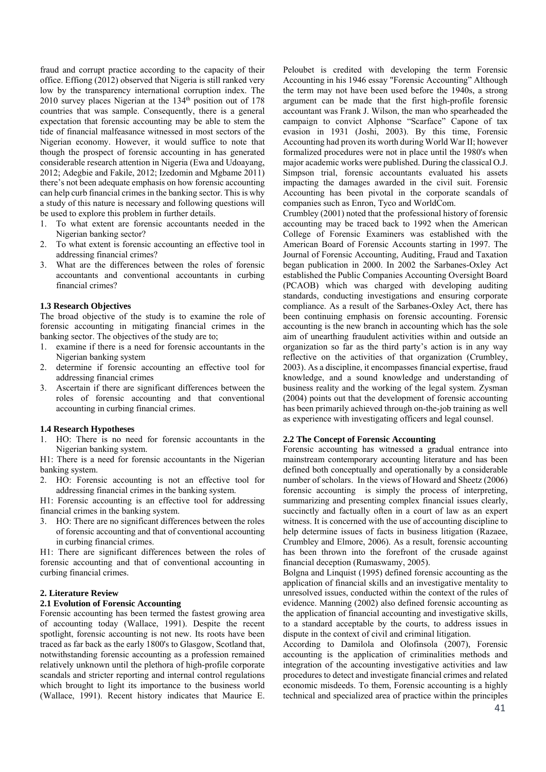fraud and corrupt practice according to the capacity of their office. Effiong (2012) observed that Nigeria is still ranked very low by the transparency international corruption index. The 2010 survey places Nigerian at the 134<sup>th</sup> position out of 178 countries that was sample. Consequently, there is a general expectation that forensic accounting may be able to stem the tide of financial malfeasance witnessed in most sectors of the Nigerian economy. However, it would suffice to note that though the prospect of forensic accounting in has generated considerable research attention in Nigeria (Ewa and Udoayang, 2012; Adegbie and Fakile, 2012; Izedomin and Mgbame 2011) there's not been adequate emphasis on how forensic accounting can help curb financial crimes in the banking sector. This is why a study of this nature is necessary and following questions will be used to explore this problem in further details.

- 1. To what extent are forensic accountants needed in the Nigerian banking sector?
- 2. To what extent is forensic accounting an effective tool in addressing financial crimes?
- 3. What are the differences between the roles of forensic accountants and conventional accountants in curbing financial crimes?

### **1.3 Research Objectives**

The broad objective of the study is to examine the role of forensic accounting in mitigating financial crimes in the banking sector. The objectives of the study are to;

- 1. examine if there is a need for forensic accountants in the Nigerian banking system
- 2. determine if forensic accounting an effective tool for addressing financial crimes
- 3. Ascertain if there are significant differences between the roles of forensic accounting and that conventional accounting in curbing financial crimes.

## **1.4 Research Hypotheses**

1. HO: There is no need for forensic accountants in the Nigerian banking system.

H1: There is a need for forensic accountants in the Nigerian banking system.

2. HO: Forensic accounting is not an effective tool for addressing financial crimes in the banking system.

H1: Forensic accounting is an effective tool for addressing financial crimes in the banking system.

3. HO: There are no significant differences between the roles of forensic accounting and that of conventional accounting in curbing financial crimes.

H1: There are significant differences between the roles of forensic accounting and that of conventional accounting in curbing financial crimes.

## **2. Literature Review**

# **2.1 Evolution of Forensic Accounting**

Forensic accounting has been termed the fastest growing area of accounting today (Wallace, 1991). Despite the recent spotlight, forensic accounting is not new. Its roots have been traced as far back as the early 1800's to Glasgow, Scotland that, notwithstanding forensic accounting as a profession remained relatively unknown until the plethora of high-profile corporate scandals and stricter reporting and internal control regulations which brought to light its importance to the business world (Wallace, 1991). Recent history indicates that Maurice E.

Peloubet is credited with developing the term Forensic Accounting in his 1946 essay "Forensic Accounting" Although the term may not have been used before the 1940s, a strong argument can be made that the first high-profile forensic accountant was Frank J. Wilson, the man who spearheaded the campaign to convict Alphonse "Scarface" Capone of tax evasion in 1931 (Joshi, 2003). By this time, Forensic Accounting had proven its worth during World War II; however formalized procedures were not in place until the 1980's when major academic works were published. During the classical O.J. Simpson trial, forensic accountants evaluated his assets impacting the damages awarded in the civil suit. Forensic Accounting has been pivotal in the corporate scandals of companies such as Enron, Tyco and WorldCom.

Crumbley (2001) noted that the professional history of forensic accounting may be traced back to 1992 when the American College of Forensic Examiners was established with the American Board of Forensic Accounts starting in 1997. The Journal of Forensic Accounting, Auditing, Fraud and Taxation began publication in 2000. In 2002 the Sarbanes-Oxley Act established the Public Companies Accounting Oversight Board (PCAOB) which was charged with developing auditing standards, conducting investigations and ensuring corporate compliance. As a result of the Sarbanes-Oxley Act, there has been continuing emphasis on forensic accounting. Forensic accounting is the new branch in accounting which has the sole aim of unearthing fraudulent activities within and outside an organization so far as the third party's action is in any way reflective on the activities of that organization (Crumbley, 2003). As a discipline, it encompasses financial expertise, fraud knowledge, and a sound knowledge and understanding of business reality and the working of the legal system. Zysman (2004) points out that the development of forensic accounting has been primarily achieved through on-the-job training as well as experience with investigating officers and legal counsel.

#### **2.2 The Concept of Forensic Accounting**

Forensic accounting has witnessed a gradual entrance into mainstream contemporary accounting literature and has been defined both conceptually and operationally by a considerable number of scholars. In the views of Howard and Sheetz (2006) forensic accounting is simply the process of interpreting, summarizing and presenting complex financial issues clearly, succinctly and factually often in a court of law as an expert witness. It is concerned with the use of accounting discipline to help determine issues of facts in business litigation (Razaee, Crumbley and Elmore, 2006). As a result, forensic accounting has been thrown into the forefront of the crusade against financial deception (Rumaswamy, 2005).

Bolgna and Linquist (1995) defined forensic accounting as the application of financial skills and an investigative mentality to unresolved issues, conducted within the context of the rules of evidence. Manning (2002) also defined forensic accounting as the application of financial accounting and investigative skills, to a standard acceptable by the courts, to address issues in dispute in the context of civil and criminal litigation.

According to Damilola and Olofinsola (2007), Forensic accounting is the application of criminalities methods and integration of the accounting investigative activities and law procedures to detect and investigate financial crimes and related economic misdeeds. To them, Forensic accounting is a highly technical and specialized area of practice within the principles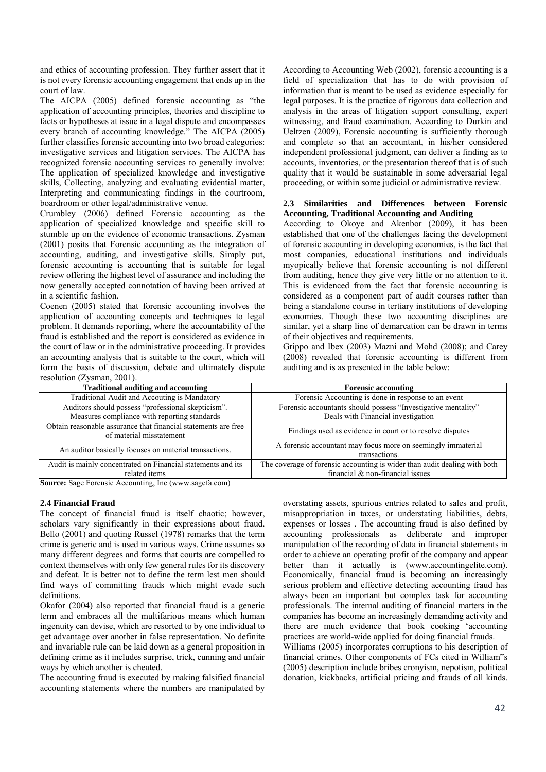and ethics of accounting profession. They further assert that it is not every forensic accounting engagement that ends up in the court of law.

The AICPA (2005) defined forensic accounting as "the application of accounting principles, theories and discipline to facts or hypotheses at issue in a legal dispute and encompasses every branch of accounting knowledge." The AICPA (2005) further classifies forensic accounting into two broad categories: investigative services and litigation services. The AICPA has recognized forensic accounting services to generally involve: The application of specialized knowledge and investigative skills, Collecting, analyzing and evaluating evidential matter, Interpreting and communicating findings in the courtroom, boardroom or other legal/administrative venue.

Crumbley (2006) defined Forensic accounting as the application of specialized knowledge and specific skill to stumble up on the evidence of economic transactions. Zysman (2001) posits that Forensic accounting as the integration of accounting, auditing, and investigative skills. Simply put, forensic accounting is accounting that is suitable for legal review offering the highest level of assurance and including the now generally accepted connotation of having been arrived at in a scientific fashion.

Coenen (2005) stated that forensic accounting involves the application of accounting concepts and techniques to legal problem. It demands reporting, where the accountability of the fraud is established and the report is considered as evidence in the court of law or in the administrative proceeding. It provides an accounting analysis that is suitable to the court, which will form the basis of discussion, debate and ultimately dispute resolution (Zysman, 2001).

According to Accounting Web (2002), forensic accounting is a field of specialization that has to do with provision of information that is meant to be used as evidence especially for legal purposes. It is the practice of rigorous data collection and analysis in the areas of litigation support consulting, expert witnessing, and fraud examination. According to Durkin and Ueltzen (2009), Forensic accounting is sufficiently thorough and complete so that an accountant, in his/her considered independent professional judgment, can deliver a finding as to accounts, inventories, or the presentation thereof that is of such quality that it would be sustainable in some adversarial legal proceeding, or within some judicial or administrative review.

# **2.3 Similarities and Differences between Forensic Accounting, Traditional Accounting and Auditing**

According to Okoye and Akenbor (2009), it has been established that one of the challenges facing the development of forensic accounting in developing economies, is the fact that most companies, educational institutions and individuals myopically believe that forensic accounting is not different from auditing, hence they give very little or no attention to it. This is evidenced from the fact that forensic accounting is considered as a component part of audit courses rather than being a standalone course in tertiary institutions of developing economies. Though these two accounting disciplines are similar, yet a sharp line of demarcation can be drawn in terms of their objectives and requirements.

Grippo and Ibex (2003) Mazni and Mohd (2008); and Carey (2008) revealed that forensic accounting is different from auditing and is as presented in the table below:

| $1.9001$ , $1.011$ , $1.011$ , $1.011$ , $1.0001$ , $1.0001$<br><b>Traditional auditing and accounting</b> | <b>Forensic accounting</b>                                                |  |  |
|------------------------------------------------------------------------------------------------------------|---------------------------------------------------------------------------|--|--|
|                                                                                                            |                                                                           |  |  |
| Traditional Audit and Accouting is Mandatory                                                               | Forensic Accounting is done in response to an event                       |  |  |
| Auditors should possess "professional skepticism".                                                         | Forensic accountants should possess "Investigative mentality"             |  |  |
| Measures compliance with reporting standards                                                               | Deals with Financial investigation                                        |  |  |
| Obtain reasonable assurance that financial statements are free                                             | Findings used as evidence in court or to resolve disputes                 |  |  |
| of material misstatement                                                                                   |                                                                           |  |  |
|                                                                                                            | A forensic accountant may focus more on seemingly immaterial              |  |  |
| An auditor basically focuses on material transactions.                                                     | transactions.                                                             |  |  |
| Audit is mainly concentrated on Financial statements and its                                               | The coverage of forensic accounting is wider than audit dealing with both |  |  |
| related items                                                                                              | financial $\&$ non-financial issues                                       |  |  |

**Source:** Sage Forensic Accounting, Inc (www.sagefa.com)

## **2.4 Financial Fraud**

The concept of financial fraud is itself chaotic; however, scholars vary significantly in their expressions about fraud. Bello (2001) and quoting Russel (1978) remarks that the term crime is generic and is used in various ways. Crime assumes so many different degrees and forms that courts are compelled to context themselves with only few general rules for its discovery and defeat. It is better not to define the term lest men should find ways of committing frauds which might evade such definitions.

Okafor (2004) also reported that financial fraud is a generic term and embraces all the multifarious means which human ingenuity can devise, which are resorted to by one individual to get advantage over another in false representation. No definite and invariable rule can be laid down as a general proposition in defining crime as it includes surprise, trick, cunning and unfair ways by which another is cheated.

The accounting fraud is executed by making falsified financial accounting statements where the numbers are manipulated by

overstating assets, spurious entries related to sales and profit, misappropriation in taxes, or understating liabilities, debts, expenses or losses . The accounting fraud is also defined by accounting professionals as deliberate and improper manipulation of the recording of data in financial statements in order to achieve an operating profit of the company and appear better than it actually is (www.accountingelite.com). Economically, financial fraud is becoming an increasingly serious problem and effective detecting accounting fraud has always been an important but complex task for accounting professionals. The internal auditing of financial matters in the companies has become an increasingly demanding activity and there are much evidence that book cooking 'accounting practices are world-wide applied for doing financial frauds. Williams (2005) incorporates corruptions to his description of financial crimes. Other components of FCs cited in William"s

(2005) description include bribes cronyism, nepotism, political donation, kickbacks, artificial pricing and frauds of all kinds.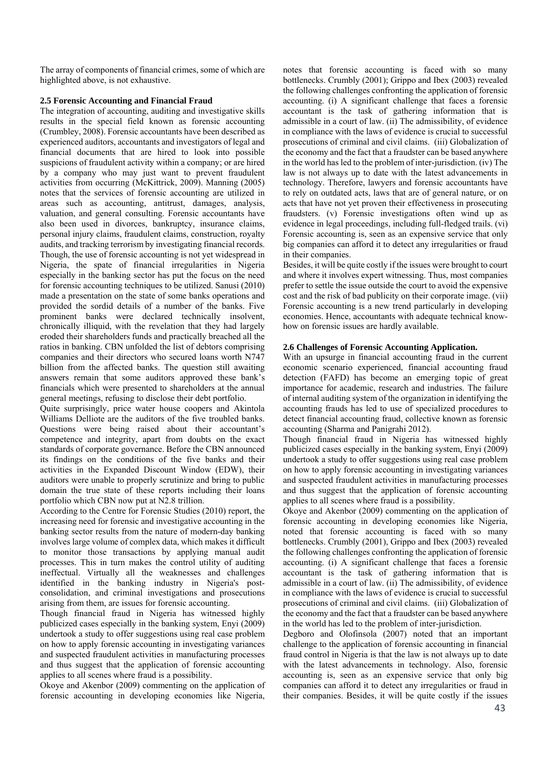The array of components of financial crimes, some of which are highlighted above, is not exhaustive.

# **2.5 Forensic Accounting and Financial Fraud**

The integration of accounting, auditing and investigative skills results in the special field known as forensic accounting (Crumbley, 2008). Forensic accountants have been described as experienced auditors, accountants and investigators of legal and financial documents that are hired to look into possible suspicions of fraudulent activity within a company; or are hired by a company who may just want to prevent fraudulent activities from occurring (McKittrick, 2009). Manning (2005) notes that the services of forensic accounting are utilized in areas such as accounting, antitrust, damages, analysis, valuation, and general consulting. Forensic accountants have also been used in divorces, bankruptcy, insurance claims, personal injury claims, fraudulent claims, construction, royalty audits, and tracking terrorism by investigating financial records. Though, the use of forensic accounting is not yet widespread in Nigeria, the spate of financial irregularities in Nigeria especially in the banking sector has put the focus on the need for forensic accounting techniques to be utilized. Sanusi (2010) made a presentation on the state of some banks operations and provided the sordid details of a number of the banks. Five prominent banks were declared technically insolvent, chronically illiquid, with the revelation that they had largely eroded their shareholders funds and practically breached all the ratios in banking. CBN unfolded the list of debtors comprising companies and their directors who secured loans worth N747 billion from the affected banks. The question still awaiting answers remain that some auditors approved these bank's financials which were presented to shareholders at the annual general meetings, refusing to disclose their debt portfolio.

Quite surprisingly, price water house coopers and Akintola Williams Delliote are the auditors of the five troubled banks. Questions were being raised about their accountant's competence and integrity, apart from doubts on the exact standards of corporate governance. Before the CBN announced its findings on the conditions of the five banks and their activities in the Expanded Discount Window (EDW), their auditors were unable to properly scrutinize and bring to public domain the true state of these reports including their loans portfolio which CBN now put at N2.8 trillion.

According to the Centre for Forensic Studies (2010) report, the increasing need for forensic and investigative accounting in the banking sector results from the nature of modern-day banking involves large volume of complex data, which makes it difficult to monitor those transactions by applying manual audit processes. This in turn makes the control utility of auditing ineffectual. Virtually all the weaknesses and challenges identified in the banking industry in Nigeria's postconsolidation, and criminal investigations and prosecutions arising from them, are issues for forensic accounting.

Though financial fraud in Nigeria has witnessed highly publicized cases especially in the banking system, Enyi (2009) undertook a study to offer suggestions using real case problem on how to apply forensic accounting in investigating variances and suspected fraudulent activities in manufacturing processes and thus suggest that the application of forensic accounting applies to all scenes where fraud is a possibility.

Okoye and Akenbor (2009) commenting on the application of forensic accounting in developing economies like Nigeria,

notes that forensic accounting is faced with so many bottlenecks. Crumbly (2001); Grippo and Ibex (2003) revealed the following challenges confronting the application of forensic accounting. (i) A significant challenge that faces a forensic accountant is the task of gathering information that is admissible in a court of law. (ii) The admissibility, of evidence in compliance with the laws of evidence is crucial to successful prosecutions of criminal and civil claims. (iii) Globalization of the economy and the fact that a fraudster can be based anywhere in the world has led to the problem of inter-jurisdiction. (iv) The law is not always up to date with the latest advancements in technology. Therefore, lawyers and forensic accountants have to rely on outdated acts, laws that are of general nature, or on acts that have not yet proven their effectiveness in prosecuting fraudsters. (v) Forensic investigations often wind up as evidence in legal proceedings, including full-fledged trails. (vi) Forensic accounting is, seen as an expensive service that only big companies can afford it to detect any irregularities or fraud in their companies.

Besides, it will be quite costly if the issues were brought to court and where it involves expert witnessing. Thus, most companies prefer to settle the issue outside the court to avoid the expensive cost and the risk of bad publicity on their corporate image. (vii) Forensic accounting is a new trend particularly in developing economies. Hence, accountants with adequate technical knowhow on forensic issues are hardly available.

# **2.6 Challenges of Forensic Accounting Application.**

With an upsurge in financial accounting fraud in the current economic scenario experienced, financial accounting fraud detection (FAFD) has become an emerging topic of great importance for academic, research and industries. The failure of internal auditing system of the organization in identifying the accounting frauds has led to use of specialized procedures to detect financial accounting fraud, collective known as forensic accounting (Sharma and Panigrahi 2012).

Though financial fraud in Nigeria has witnessed highly publicized cases especially in the banking system, Enyi (2009) undertook a study to offer suggestions using real case problem on how to apply forensic accounting in investigating variances and suspected fraudulent activities in manufacturing processes and thus suggest that the application of forensic accounting applies to all scenes where fraud is a possibility.

Okoye and Akenbor (2009) commenting on the application of forensic accounting in developing economies like Nigeria, noted that forensic accounting is faced with so many bottlenecks. Crumbly (2001), Grippo and Ibex (2003) revealed the following challenges confronting the application of forensic accounting. (i) A significant challenge that faces a forensic accountant is the task of gathering information that is admissible in a court of law. (ii) The admissibility, of evidence in compliance with the laws of evidence is crucial to successful prosecutions of criminal and civil claims. (iii) Globalization of the economy and the fact that a fraudster can be based anywhere in the world has led to the problem of inter-jurisdiction.

Degboro and Olofinsola (2007) noted that an important challenge to the application of forensic accounting in financial fraud control in Nigeria is that the law is not always up to date with the latest advancements in technology. Also, forensic accounting is, seen as an expensive service that only big companies can afford it to detect any irregularities or fraud in their companies. Besides, it will be quite costly if the issues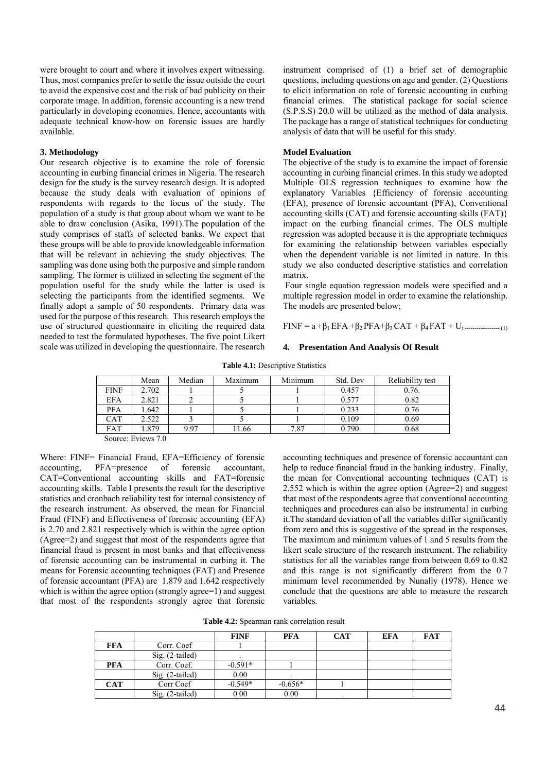were brought to court and where it involves expert witnessing. Thus, most companies prefer to settle the issue outside the court to avoid the expensive cost and the risk of bad publicity on their corporate image. In addition, forensic accounting is a new trend particularly in developing economies. Hence, accountants with adequate technical know-how on forensic issues are hardly available.

### **3. Methodology**

Our research objective is to examine the role of forensic accounting in curbing financial crimes in Nigeria. The research design for the study is the survey research design. It is adopted because the study deals with evaluation of opinions of respondents with regards to the focus of the study. The population of a study is that group about whom we want to be able to draw conclusion (Asika, 1991).The population of the study comprises of staffs of selected banks. We expect that these groups will be able to provide knowledgeable information that will be relevant in achieving the study objectives. The sampling was done using both the purposive and simple random sampling. The former is utilized in selecting the segment of the population useful for the study while the latter is used is selecting the participants from the identified segments. We finally adopt a sample of 50 respondents. Primary data was used for the purpose of this research. This research employs the use of structured questionnaire in eliciting the required data needed to test the formulated hypotheses. The five point Likert scale was utilized in developing the questionnaire. The research

instrument comprised of (1) a brief set of demographic questions, including questions on age and gender. (2) Questions to elicit information on role of forensic accounting in curbing financial crimes. The statistical package for social science (S.P.S.S) 20.0 will be utilized as the method of data analysis. The package has a range of statistical techniques for conducting analysis of data that will be useful for this study.

#### **Model Evaluation**

The objective of the study is to examine the impact of forensic accounting in curbing financial crimes. In this study we adopted Multiple OLS regression techniques to examine how the explanatory Variables {Efficiency of forensic accounting (EFA), presence of forensic accountant (PFA), Conventional accounting skills (CAT) and forensic accounting skills (FAT)} impact on the curbing financial crimes. The OLS multiple regression was adopted because it is the appropriate techniques for examining the relationship between variables especially when the dependent variable is not limited in nature. In this study we also conducted descriptive statistics and correlation matrix.

 Four single equation regression models were specified and a multiple regression model in order to examine the relationship. The models are presented below;

 $FINF = a + \beta_1 EFA + \beta_2 PFA + \beta_3 CAT + \beta_4 FAT + U_t$ 

#### **4. Presentation And Analysis Of Result**

**Table 4.1:** Descriptive Statistics

|                        | Mean  | Median | Maximum | Minimum | Std. Dev | Reliability test |
|------------------------|-------|--------|---------|---------|----------|------------------|
| <b>FINF</b>            | 2.702 |        |         |         | 0.457    | 0.76.            |
| <b>EFA</b>             | 2.821 |        |         |         | 0.577    | 0.82             |
| <b>PFA</b>             | .642  |        |         |         | 0.233    | 0.76             |
| CAT                    | 2.522 |        |         |         | 0.109    | 0.69             |
| FAT                    | .879  | 9.97   | 1.66    | 7.87    | 0.790    | 0.68             |
| $ -$<br>$\sim$<br>$ -$ |       |        |         |         |          |                  |

Source: Eviews 7.0

Where: FINF= Financial Fraud, EFA=Efficiency of forensic accounting, PFA=presence of forensic accountant, CAT=Conventional accounting skills and FAT=forensic accounting skills. Table I presents the result for the descriptive statistics and cronbach reliability test for internal consistency of the research instrument. As observed, the mean for Financial Fraud (FINF) and Effectiveness of forensic accounting (EFA) is 2.70 and 2.821 respectively which is within the agree option (Agree=2) and suggest that most of the respondents agree that financial fraud is present in most banks and that effectiveness of forensic accounting can be instrumental in curbing it. The means for Forensic accounting techniques (FAT) and Presence of forensic accountant (PFA) are 1.879 and 1.642 respectively which is within the agree option (strongly agree=1) and suggest that most of the respondents strongly agree that forensic

accounting techniques and presence of forensic accountant can help to reduce financial fraud in the banking industry. Finally, the mean for Conventional accounting techniques (CAT) is 2.552 which is within the agree option (Agree=2) and suggest that most of the respondents agree that conventional accounting techniques and procedures can also be instrumental in curbing it.The standard deviation of all the variables differ significantly from zero and this is suggestive of the spread in the responses. The maximum and minimum values of 1 and 5 results from the likert scale structure of the research instrument. The reliability statistics for all the variables range from between 0.69 to 0.82 and this range is not significantly different from the 0.7 minimum level recommended by Nunally (1978). Hence we conclude that the questions are able to measure the research variables.

**Table 4.2:** Spearman rank correlation result

|            |                 | <b>FINF</b> | PFA       | <b>CAT</b> | EFA | <b>FAT</b> |
|------------|-----------------|-------------|-----------|------------|-----|------------|
| <b>FFA</b> | Corr. Coef      |             |           |            |     |            |
|            | Sig. (2-tailed) |             |           |            |     |            |
| <b>PFA</b> | Corr. Coef.     | $-0.591*$   |           |            |     |            |
|            | Sig. (2-tailed) | 0.00        |           |            |     |            |
| <b>CAT</b> | Corr Coef       | $-0.549*$   | $-0.656*$ |            |     |            |
|            | Sig. (2-tailed) | 0.00        | 0.00      |            |     |            |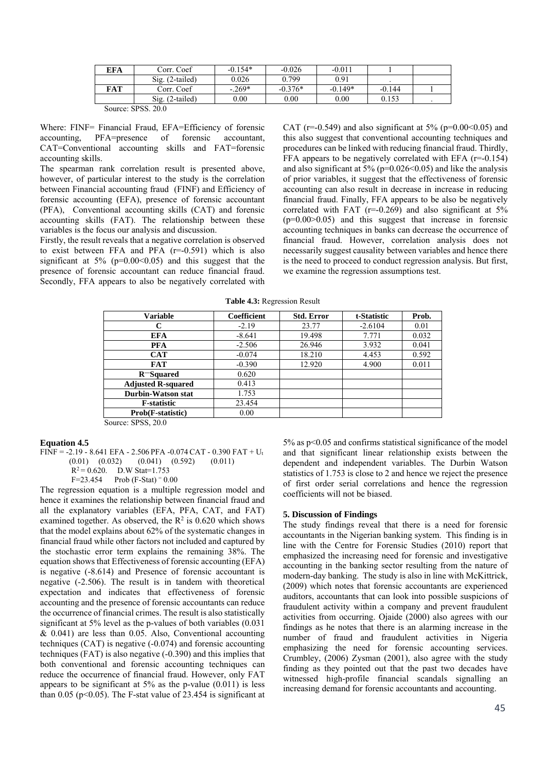| EFA    | Corr. Coef        | $-0.154*$ | $-0.026$  | $-0.011$  |          |  |
|--------|-------------------|-----------|-----------|-----------|----------|--|
|        | $Sig. (2-tailed)$ | 0.026     | 0.799     | 0.91      |          |  |
| FAT    | Corr. Coef        | $-0.269*$ | $-0.376*$ | $-0.149*$ | $-0.144$ |  |
|        | $Sig. (2-tailed)$ | $0.00\,$  | 0.00      | $0.00\,$  | 0.153    |  |
| $\sim$ | 0.000000          |           |           |           |          |  |

Source: SPSS. 20.0

Where: FINF= Financial Fraud, EFA=Efficiency of forensic accounting, PFA=presence of forensic accountant, CAT=Conventional accounting skills and FAT=forensic accounting skills.

The spearman rank correlation result is presented above, however, of particular interest to the study is the correlation between Financial accounting fraud (FINF) and Efficiency of forensic accounting (EFA), presence of forensic accountant (PFA), Conventional accounting skills (CAT) and forensic accounting skills (FAT). The relationship between these variables is the focus our analysis and discussion.

Firstly, the result reveals that a negative correlation is observed to exist between FFA and PFA  $(r=0.591)$  which is also significant at  $5\%$  (p=0.00 < 0.05) and this suggest that the presence of forensic accountant can reduce financial fraud. Secondly, FFA appears to also be negatively correlated with CAT ( $r=0.549$ ) and also significant at  $5\%$  ( $p=0.00<0.05$ ) and this also suggest that conventional accounting techniques and procedures can be linked with reducing financial fraud. Thirdly, FFA appears to be negatively correlated with EFA (r=-0.154) and also significant at  $5\%$  (p=0.026<0.05) and like the analysis of prior variables, it suggest that the effectiveness of forensic accounting can also result in decrease in increase in reducing financial fraud. Finally, FFA appears to be also be negatively correlated with FAT ( $r=-0.269$ ) and also significant at  $5%$  $(p=0.00>0.05)$  and this suggest that increase in forensic accounting techniques in banks can decrease the occurrence of financial fraud. However, correlation analysis does not necessarily suggest causality between variables and hence there is the need to proceed to conduct regression analysis. But first, we examine the regression assumptions test.

**Table 4.3:** Regression Result

| C                         | $-2.19$<br>$-8.641$ | 23.77  | $-2.6104$ | 0.01  |
|---------------------------|---------------------|--------|-----------|-------|
|                           |                     |        |           |       |
| <b>EFA</b>                |                     | 19.498 | 7.771     | 0.032 |
| <b>PFA</b>                | $-2.506$            | 26.946 | 3.932     | 0.041 |
| <b>CAT</b>                | $-0.074$            | 18.210 | 4.453     | 0.592 |
| <b>FAT</b>                | $-0.390$            | 12.920 | 4.900     | 0.011 |
| $R$ Squared               | 0.620               |        |           |       |
| <b>Adjusted R-squared</b> | 0.413               |        |           |       |
| Durbin-Watson stat        | 1.753               |        |           |       |
| <b>F</b> -statistic       | 23.454              |        |           |       |
| <b>Prob(F-statistic)</b>  | 0.00                |        |           |       |

Source: SPSS, 20.0

### **Equation 4.5**

FINF = -2.19 - 8.641 EFA - 2.506 PFA -0.074 CAT - 0.390 FAT + Ut

$$
(0.01) \quad (0.032) \qquad (0.041) \quad (0.592) \qquad (0.011)
$$

 $R^2 = 0.620$ . D.W Stat=1.753<br>F=23.454 Prob (F-Stat) = 0.

$$
F=23.454
$$
 Prob (F-Stat) = 0.00

The regression equation is a multiple regression model and hence it examines the relationship between financial fraud and all the explanatory variables (EFA, PFA, CAT, and FAT) examined together. As observed, the  $R^2$  is 0.620 which shows that the model explains about 62% of the systematic changes in financial fraud while other factors not included and captured by the stochastic error term explains the remaining 38%. The equation shows that Effectiveness of forensic accounting (EFA) is negative (-8.614) and Presence of forensic accountant is negative (-2.506). The result is in tandem with theoretical expectation and indicates that effectiveness of forensic accounting and the presence of forensic accountants can reduce the occurrence of financial crimes. The result is also statistically significant at 5% level as the p-values of both variables (0.031  $& 0.041$ ) are less than 0.05. Also, Conventional accounting techniques (CAT) is negative (-0.074) and forensic accounting techniques (FAT) is also negative (-0.390) and this implies that both conventional and forensic accounting techniques can reduce the occurrence of financial fraud. However, only FAT appears to be significant at  $5\%$  as the p-value (0.011) is less than 0.05 ( $p \le 0.05$ ). The F-stat value of 23.454 is significant at

5% as p<0.05 and confirms statistical significance of the model and that significant linear relationship exists between the dependent and independent variables. The Durbin Watson statistics of 1.753 is close to 2 and hence we reject the presence of first order serial correlations and hence the regression coefficients will not be biased.

#### **5. Discussion of Findings**

The study findings reveal that there is a need for forensic accountants in the Nigerian banking system. This finding is in line with the Centre for Forensic Studies (2010) report that emphasized the increasing need for forensic and investigative accounting in the banking sector resulting from the nature of modern-day banking. The study is also in line with McKittrick, (2009) which notes that forensic accountants are experienced auditors, accountants that can look into possible suspicions of fraudulent activity within a company and prevent fraudulent activities from occurring. Ojaide (2000) also agrees with our findings as he notes that there is an alarming increase in the number of fraud and fraudulent activities in Nigeria emphasizing the need for forensic accounting services. Crumbley, (2006) Zysman (2001), also agree with the study finding as they pointed out that the past two decades have witnessed high-profile financial scandals signalling an increasing demand for forensic accountants and accounting.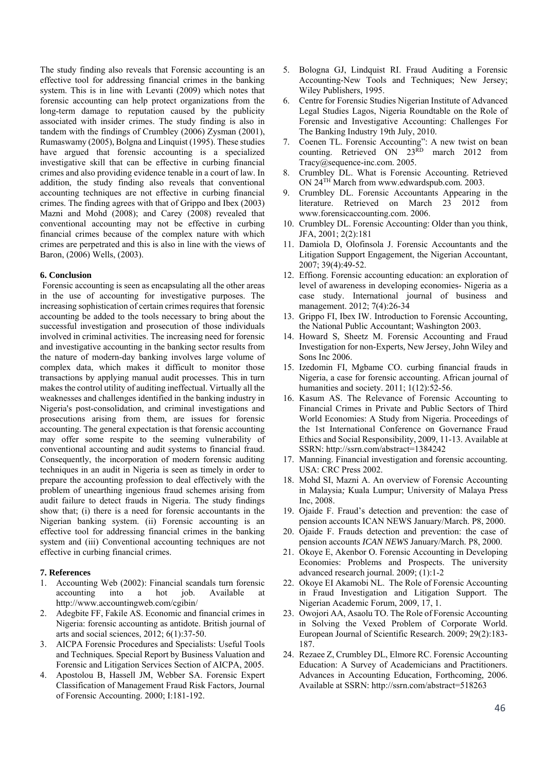The study finding also reveals that Forensic accounting is an effective tool for addressing financial crimes in the banking system. This is in line with Levanti (2009) which notes that forensic accounting can help protect organizations from the long-term damage to reputation caused by the publicity associated with insider crimes. The study finding is also in tandem with the findings of Crumbley (2006) Zysman (2001), Rumaswamy (2005), Bolgna and Linquist (1995). These studies have argued that forensic accounting is a specialized investigative skill that can be effective in curbing financial crimes and also providing evidence tenable in a court of law. In addition, the study finding also reveals that conventional accounting techniques are not effective in curbing financial crimes. The finding agrees with that of Grippo and Ibex (2003) Mazni and Mohd (2008); and Carey (2008) revealed that conventional accounting may not be effective in curbing financial crimes because of the complex nature with which crimes are perpetrated and this is also in line with the views of Baron, (2006) Wells, (2003).

# **6. Conclusion**

 Forensic accounting is seen as encapsulating all the other areas in the use of accounting for investigative purposes. The increasing sophistication of certain crimes requires that forensic accounting be added to the tools necessary to bring about the successful investigation and prosecution of those individuals involved in criminal activities. The increasing need for forensic and investigative accounting in the banking sector results from the nature of modern-day banking involves large volume of complex data, which makes it difficult to monitor those transactions by applying manual audit processes. This in turn makes the control utility of auditing ineffectual. Virtually all the weaknesses and challenges identified in the banking industry in Nigeria's post-consolidation, and criminal investigations and prosecutions arising from them, are issues for forensic accounting. The general expectation is that forensic accounting may offer some respite to the seeming vulnerability of conventional accounting and audit systems to financial fraud. Consequently, the incorporation of modern forensic auditing techniques in an audit in Nigeria is seen as timely in order to prepare the accounting profession to deal effectively with the problem of unearthing ingenious fraud schemes arising from audit failure to detect frauds in Nigeria. The study findings show that; (i) there is a need for forensic accountants in the Nigerian banking system. (ii) Forensic accounting is an effective tool for addressing financial crimes in the banking system and (iii) Conventional accounting techniques are not effective in curbing financial crimes.

## **7. References**

- 1. Accounting Web (2002): Financial scandals turn forensic accounting into a hot job. Available at http://www.accountingweb.com/cgibin/
- 2. Adegbite FF, Fakile AS. Economic and financial crimes in Nigeria: forensic accounting as antidote. British journal of arts and social sciences, 2012; 6(1):37-50.
- 3. AICPA Forensic Procedures and Specialists: Useful Tools and Techniques*.* Special Report by Business Valuation and Forensic and Litigation Services Section of AICPA, 2005.
- 4. Apostolou B, Hassell JM, Webber SA. Forensic Expert Classification of Management Fraud Risk Factors, Journal of Forensic Accounting. 2000; I:181-192.
- 5. Bologna GJ, Lindquist RI. Fraud Auditing a Forensic Accounting*-*New Tools and Techniques; New Jersey; Wiley Publishers, 1995.
- 6. Centre for Forensic Studies Nigerian Institute of Advanced Legal Studies Lagos, Nigeria Roundtable on the Role of Forensic and Investigative Accounting: Challenges For The Banking Industry 19th July, 2010.
- 7. Coenen TL. Forensic Accounting": A new twist on bean counting. Retrieved ON 23<sup>RD</sup> march 2012 from Tracy@sequence-inc.com. 2005.
- 8. Crumbley DL. What is Forensic Accounting. Retrieved ON 24TH March from www.edwardspub.com. 2003.
- 9. Crumbley DL. Forensic Accountants Appearing in the literature. Retrieved on March 23 2012 from www.forensicaccounting.com. 2006.
- 10. Crumbley DL. Forensic Accounting: Older than you think, JFA, 2001; 2(2):181
- 11. Damiola D, Olofinsola J. Forensic Accountants and the Litigation Support Engagement, the Nigerian Accountant, 2007; 39(4):49-52.
- 12. Effiong. Forensic accounting education: an exploration of level of awareness in developing economies- Nigeria as a case study. International journal of business and management. 2012; 7(4):26-34
- 13. Grippo FI, Ibex IW. Introduction to Forensic Accounting, the National Public Accountant; Washington 2003*.*
- 14. Howard S, Sheetz M. Forensic Accounting and Fraud Investigation for non-Experts*,* New Jersey, John Wiley and Sons Inc 2006.
- 15. Izedomin FI, Mgbame CO. curbing financial frauds in Nigeria, a case for forensic accounting. African journal of humanities and society. 2011; 1(12):52-56.
- 16. Kasum AS. The Relevance of Forensic Accounting to Financial Crimes in Private and Public Sectors of Third World Economies: A Study from Nigeria. Proceedings of the 1st International Conference on Governance Fraud Ethics and Social Responsibility, 2009, 11-13. Available at SSRN: http://ssrn.com/abstract=1384242
- 17. Manning. Financial investigation and forensic accounting. USA: CRC Press 2002.
- 18. Mohd SI, Mazni A. An overview of Forensic Accounting in Malaysia*;* Kuala Lumpur; University of Malaya Press Inc, 2008.
- 19. Ojaide F. Fraud's detection and prevention: the case of pension accounts ICAN NEWS January/March. P8, 2000.
- 20. Ojaide F. Frauds detection and prevention: the case of pension accounts *ICAN NEWS* January/March. P8, 2000.
- 21. Okoye E, Akenbor O. Forensic Accounting in Developing Economies: Problems and Prospects. The university advanced research journal. 2009; (1):1-2
- 22. Okoye EI Akamobi NL. The Role of Forensic Accounting in Fraud Investigation and Litigation Support. The Nigerian Academic Forum, 2009, 17, 1.
- 23. Owojori AA, Asaolu TO. The Role of Forensic Accounting in Solving the Vexed Problem of Corporate World. European Journal of Scientific Research. 2009; 29(2):183- 187.
- 24. Rezaee Z, Crumbley DL, Elmore RC. Forensic Accounting Education: A Survey of Academicians and Practitioners. Advances in Accounting Education*,* Forthcoming, 2006. Available at SSRN: http://ssrn.com/abstract=518263